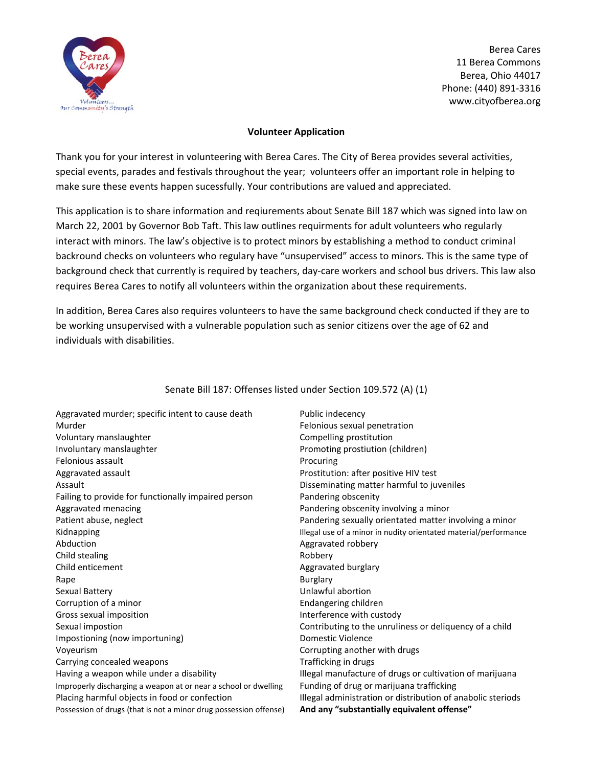

Berea Cares 11 Berea Commons Berea, Ohio 44017 Phone: (440) 891‐3316 www.cityofberea.org

### **Volunteer Application**

Thank you for your interest in volunteering with Berea Cares. The City of Berea provides several activities, special events, parades and festivals throughout the year; volunteers offer an important role in helping to make sure these events happen sucessfully. Your contributions are valued and appreciated.

This application is to share information and reqiurements about Senate Bill 187 which was signed into law on March 22, 2001 by Governor Bob Taft. This law outlines requirments for adult volunteers who regularly interact with minors. The law's objective is to protect minors by establishing a method to conduct criminal backround checks on volunteers who regulary have "unsupervised" access to minors. This is the same type of background check that currently is required by teachers, day‐care workers and school bus drivers. This law also requires Berea Cares to notify all volunteers within the organization about these requirements.

In addition, Berea Cares also requires volunteers to have the same background check conducted if they are to be working unsupervised with a vulnerable population such as senior citizens over the age of 62 and individuals with disabilities.

| Aggravated murder; specific intent to cause death                 | Public indecency                                                 |
|-------------------------------------------------------------------|------------------------------------------------------------------|
| Murder                                                            | Felonious sexual penetration                                     |
| Voluntary manslaughter                                            | Compelling prostitution                                          |
| Involuntary manslaughter                                          | Promoting prostiution (children)                                 |
| Felonious assault                                                 | Procuring                                                        |
| Aggravated assault                                                | Prostitution: after positive HIV test                            |
| Assault                                                           | Disseminating matter harmful to juveniles                        |
| Failing to provide for functionally impaired person               | Pandering obscenity                                              |
| Aggravated menacing                                               | Pandering obscenity involving a minor                            |
| Patient abuse, neglect                                            | Pandering sexually orientated matter involving a minor           |
| Kidnapping                                                        | Illegal use of a minor in nudity orientated material/performance |
| Abduction                                                         | Aggravated robbery                                               |
| Child stealing                                                    | Robbery                                                          |
| Child enticement                                                  | Aggravated burglary                                              |
| Rape                                                              | <b>Burglary</b>                                                  |
| Sexual Battery                                                    | Unlawful abortion                                                |
| Corruption of a minor                                             | Endangering children                                             |
| Gross sexual imposition                                           | Interference with custody                                        |
| Sexual impostion                                                  | Contributing to the unruliness or deliquency of a child          |
| Impostioning (now importuning)                                    | Domestic Violence                                                |
| Voyeurism                                                         | Corrupting another with drugs                                    |
| Carrying concealed weapons                                        | Trafficking in drugs                                             |
| Having a weapon while under a disability                          | Illegal manufacture of drugs or cultivation of marijuana         |
| Improperly discharging a weapon at or near a school or dwelling   | Funding of drug or marijuana trafficking                         |
| Placing harmful objects in food or confection                     | Illegal administration or distribution of anabolic steriods      |
| Possession of drugs (that is not a minor drug possession offense) | And any "substantially equivalent offense"                       |
|                                                                   |                                                                  |

## Senate Bill 187: Offenses listed under Section 109.572 (A) (1)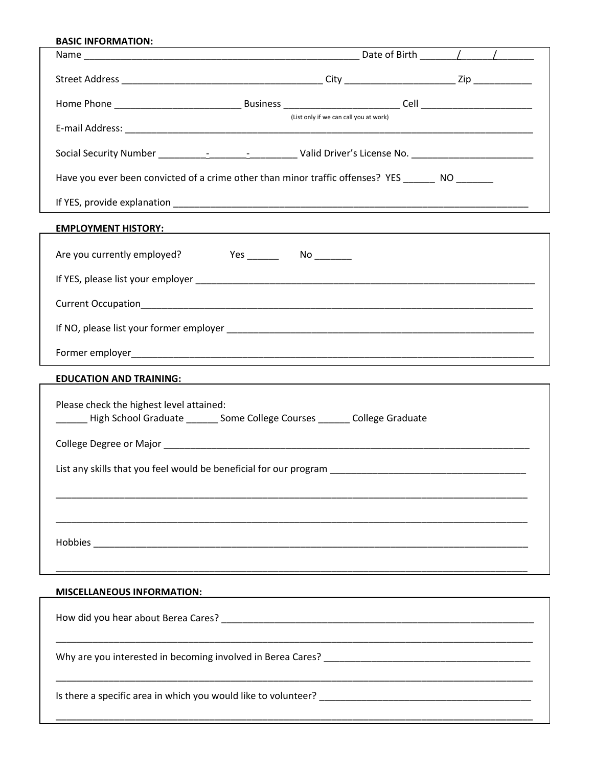| <b>BASIC INFORMATION:</b>                                                                                                                                                                                                      |                                        |  |  |  |  |  |
|--------------------------------------------------------------------------------------------------------------------------------------------------------------------------------------------------------------------------------|----------------------------------------|--|--|--|--|--|
|                                                                                                                                                                                                                                |                                        |  |  |  |  |  |
|                                                                                                                                                                                                                                |                                        |  |  |  |  |  |
|                                                                                                                                                                                                                                |                                        |  |  |  |  |  |
|                                                                                                                                                                                                                                | (List only if we can call you at work) |  |  |  |  |  |
|                                                                                                                                                                                                                                |                                        |  |  |  |  |  |
| Have you ever been convicted of a crime other than minor traffic offenses? YES NO                                                                                                                                              |                                        |  |  |  |  |  |
|                                                                                                                                                                                                                                |                                        |  |  |  |  |  |
| EMPLOYMENT HISTORY: And the state of the state of the state of the state of the state of the state of the state of the state of the state of the state of the state of the state of the state of the state of the state of the |                                        |  |  |  |  |  |
| Are you currently employed?                                                                                                                                                                                                    |                                        |  |  |  |  |  |
|                                                                                                                                                                                                                                |                                        |  |  |  |  |  |
|                                                                                                                                                                                                                                |                                        |  |  |  |  |  |
|                                                                                                                                                                                                                                |                                        |  |  |  |  |  |
|                                                                                                                                                                                                                                |                                        |  |  |  |  |  |
|                                                                                                                                                                                                                                |                                        |  |  |  |  |  |
| Please check the highest level attained:<br>Lacker College Graduate _________ Some College Courses ________ College Graduate                                                                                                   |                                        |  |  |  |  |  |
|                                                                                                                                                                                                                                |                                        |  |  |  |  |  |
| List any skills that you feel would be beneficial for our program                                                                                                                                                              |                                        |  |  |  |  |  |
|                                                                                                                                                                                                                                |                                        |  |  |  |  |  |
|                                                                                                                                                                                                                                |                                        |  |  |  |  |  |
|                                                                                                                                                                                                                                |                                        |  |  |  |  |  |
|                                                                                                                                                                                                                                |                                        |  |  |  |  |  |
| <b>MISCELLANEOUS INFORMATION:</b>                                                                                                                                                                                              |                                        |  |  |  |  |  |
|                                                                                                                                                                                                                                |                                        |  |  |  |  |  |
|                                                                                                                                                                                                                                |                                        |  |  |  |  |  |
|                                                                                                                                                                                                                                |                                        |  |  |  |  |  |
|                                                                                                                                                                                                                                |                                        |  |  |  |  |  |